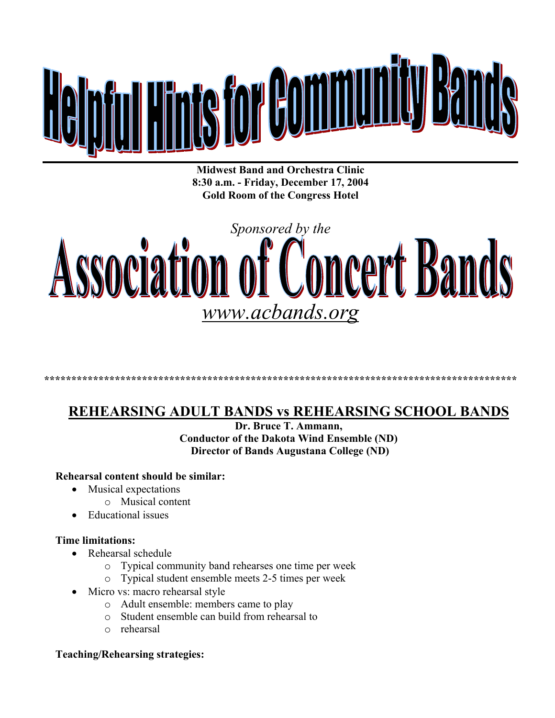

**Midwest Band and Orchestra Clinic 8:30 a.m. - Friday, December 17, 2004 Gold Room of the Congress Hotel** 

# *Sponsored by the*  Association **Concert Bands** *www.acbands.org*

#### **\*\*\*\*\*\*\*\*\*\*\*\*\*\*\*\*\*\*\*\*\*\*\*\*\*\*\*\*\*\*\*\*\*\*\*\*\*\*\*\*\*\*\*\*\*\*\*\*\*\*\*\*\*\*\*\*\*\*\*\*\*\*\*\*\*\*\*\*\*\*\*\*\*\*\*\*\*\*\*\*\*\*\*\*\*\*\***

## **REHEARSING ADULT BANDS vs REHEARSING SCHOOL BANDS**

**Dr. Bruce T. Ammann, Conductor of the Dakota Wind Ensemble (ND) Director of Bands Augustana College (ND)** 

#### **Rehearsal content should be similar:**

- Musical expectations
	- o Musical content
- Educational issues

#### **Time limitations:**

- Rehearsal schedule
	- o Typical community band rehearses one time per week
	- o Typical student ensemble meets 2-5 times per week
- Micro vs: macro rehearsal style
	- o Adult ensemble: members came to play
	- o Student ensemble can build from rehearsal to
	- o rehearsal

#### **Teaching/Rehearsing strategies:**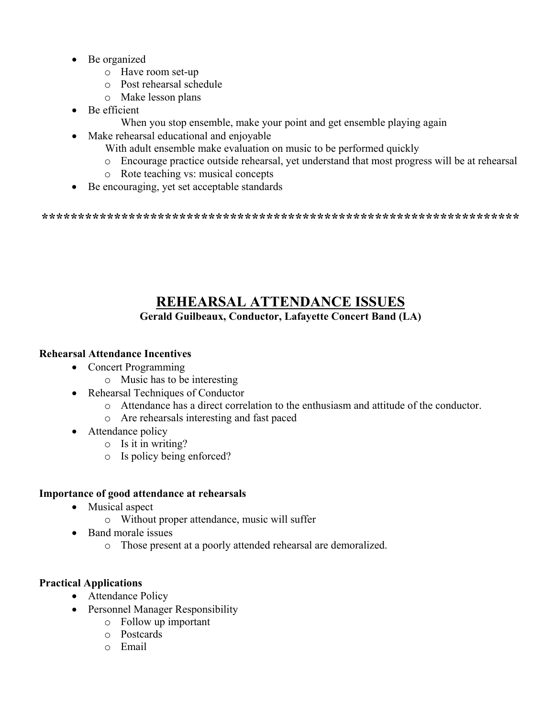- Be organized
	- o Have room set-up
	- o Post rehearsal schedule
	- o Make lesson plans
- Be efficient
	- When you stop ensemble, make your point and get ensemble playing again
- Make rehearsal educational and enjoyable
	- With adult ensemble make evaluation on music to be performed quickly
	- o Encourage practice outside rehearsal, yet understand that most progress will be at rehearsal
	- o Rote teaching vs: musical concepts
- Be encouraging, yet set acceptable standards

**\*\*\*\*\*\*\*\*\*\*\*\*\*\*\*\*\*\*\*\*\*\*\*\*\*\*\*\*\*\*\*\*\*\*\*\*\*\*\*\*\*\*\*\*\*\*\*\*\*\*\*\*\*\*\*\*\*\*\*\*\*\*\*\*\*\*** 

# **REHEARSAL ATTENDANCE ISSUES**

### **Gerald Guilbeaux, Conductor, Lafayette Concert Band (LA)**

#### **Rehearsal Attendance Incentives**

- Concert Programming
	- o Music has to be interesting
- Rehearsal Techniques of Conductor
	- o Attendance has a direct correlation to the enthusiasm and attitude of the conductor.
	- o Are rehearsals interesting and fast paced
- Attendance policy
	- o Is it in writing?
	- o Is policy being enforced?

#### **Importance of good attendance at rehearsals**

- Musical aspect
	- o Without proper attendance, music will suffer
- Band morale issues
	- o Those present at a poorly attended rehearsal are demoralized.

#### **Practical Applications**

- Attendance Policy
- Personnel Manager Responsibility
	- o Follow up important
	- o Postcards
	- o Email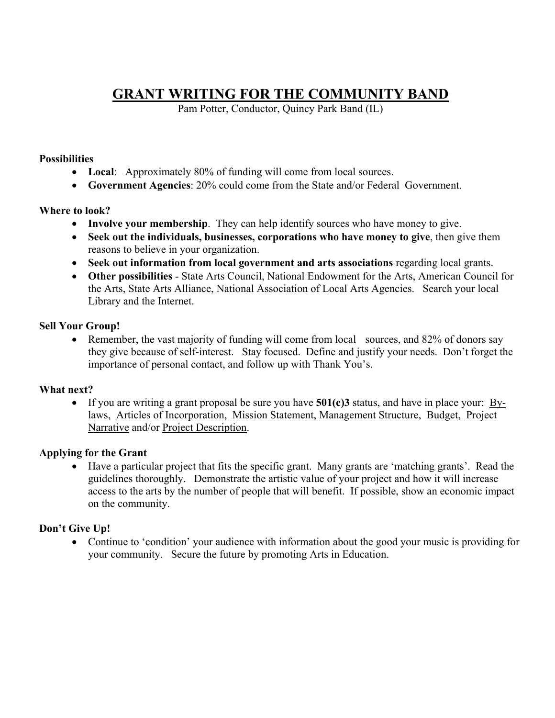# **GRANT WRITING FOR THE COMMUNITY BAND**

Pam Potter, Conductor, Quincy Park Band (IL)

#### **Possibilities**

- Local: Approximately 80% of funding will come from local sources.
- **Government Agencies**: 20% could come from the State and/or Federal Government.

#### **Where to look?**

- **Involve your membership**. They can help identify sources who have money to give.
- **Seek out the individuals, businesses, corporations who have money to give**, then give them reasons to believe in your organization.
- Seek out information from local government and arts associations regarding local grants.
- **Other possibilities** State Arts Council, National Endowment for the Arts, American Council for the Arts, State Arts Alliance, National Association of Local Arts Agencies. Search your local Library and the Internet.

#### **Sell Your Group!**

• Remember, the vast majority of funding will come from local sources, and 82% of donors say they give because of self-interest. Stay focused. Define and justify your needs. Don't forget the importance of personal contact, and follow up with Thank You's.

#### **What next?**

• If you are writing a grant proposal be sure you have **501(c)3** status, and have in place your: Bylaws, Articles of Incorporation, Mission Statement, Management Structure, Budget, Project Narrative and/or Project Description.

#### **Applying for the Grant**

• Have a particular project that fits the specific grant. Many grants are 'matching grants'. Read the guidelines thoroughly. Demonstrate the artistic value of your project and how it will increase access to the arts by the number of people that will benefit. If possible, show an economic impact on the community.

#### **Don't Give Up!**

• Continue to 'condition' your audience with information about the good your music is providing for your community. Secure the future by promoting Arts in Education.